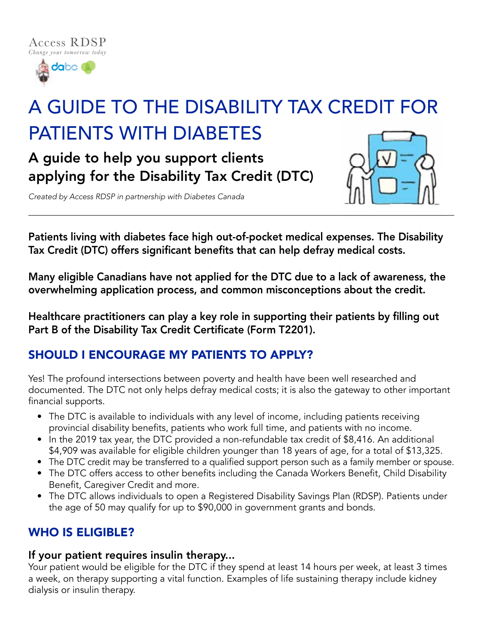

# A GUIDE TO THE DISABILITY TAX CREDIT FOR PATIENTS WITH DIABETES

A guide to help you support clients applying for the Disability Tax Credit (DTC)



*Created by Access RDSP in partnership with Diabetes Canada*

Patients living with diabetes face high out-of-pocket medical expenses. The Disability Tax Credit (DTC) offers significant benefits that can help defray medical costs.

Many eligible Canadians have not applied for the DTC due to a lack of awareness, the overwhelming application process, and common misconceptions about the credit.

Healthcare practitioners can play a key role in supporting their patients by filling out Part B of the Disability Tax Credit Certificate (Form [T2201](https://www.canada.ca/content/dam/cra-arc/formspubs/pbg/t2201/t2201-fill-18e.pdf)).

# SHOULD I ENCOURAGE MY PATIENTS TO APPLY?

Yes! The profound intersections between poverty and health have been well researched and documented. The DTC not only helps defray medical costs; it is also the gateway to other important financial supports.

- The DTC is available to individuals with any level of income, including patients receiving provincial disability benefits, patients who work full time, and patients with no income.
- In the 2019 tax year, the DTC provided a non-refundable tax credit of \$8,416. An additional \$4,909 was available for eligible children younger than 18 years of age, for a total of \$13,325.
- The DTC credit may be transferred to a qualified support person such as a family member or spouse.
- The DTC offers access to other benefits including the Canada Workers Benefit, Child Disability Benefit, Caregiver Credit and more.
- The DTC allows individuals to open a Registered Disability Savings Plan (RDSP). Patients under the age of 50 may qualify for up to \$90,000 in government grants and bonds.

## WHO IS ELIGIBLE?

#### If your patient requires insulin therapy...

Your patient would be eligible for the DTC if they spend at least 14 hours per week, at least 3 times a week, on therapy supporting a vital function. Examples of life sustaining therapy include kidney dialysis or insulin therapy.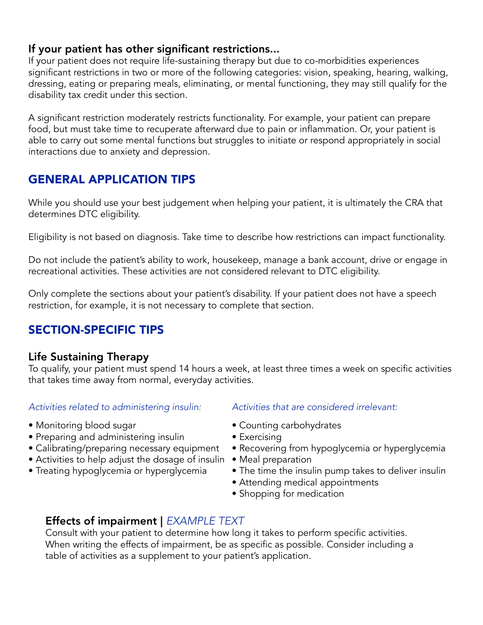## If your patient has other significant restrictions...

If your patient does not require life-sustaining therapy but due to co-morbidities experiences significant restrictions in two or more of the following categories: vision, speaking, hearing, walking, dressing, eating or preparing meals, eliminating, or mental functioning, they may still qualify for the disability tax credit under this section.

A significant restriction moderately restricts functionality. For example, your patient can prepare food, but must take time to recuperate afterward due to pain or inflammation. Or, your patient is able to carry out some mental functions but struggles to initiate or respond appropriately in social interactions due to anxiety and depression.

# GENERAL APPLICATION TIPS

While you should use your best judgement when helping your patient, it is ultimately the CRA that determines DTC eligibility.

Eligibility is not based on diagnosis. Take time to describe how restrictions can impact functionality.

Do not include the patient's ability to work, housekeep, manage a bank account, drive or engage in recreational activities. These activities are not considered relevant to DTC eligibility.

Only complete the sections about your patient's disability. If your patient does not have a speech restriction, for example, it is not necessary to complete that section.

# SECTION-SPECIFIC TIPS

#### Life Sustaining Therapy

To qualify, your patient must spend 14 hours a week, at least three times a week on specific activities that takes time away from normal, everyday activities.

#### *Activities related to administering insulin:*

- Monitoring blood sugar
- Preparing and administering insulin
- Calibrating/preparing necessary equipment
- Activities to help adjust the dosage of insulin
- Treating hypoglycemia or hyperglycemia

*Activities that are considered irrelevant:*

- Counting carbohydrates
- Exercising
- Recovering from hypoglycemia or hyperglycemia
- Meal preparation
- The time the insulin pump takes to deliver insulin
- Attending medical appointments
- Shopping for medication

## Effects of impairment | *EXAMPLE TEXT*

Consult with your patient to determine how long it takes to perform specific activities. When writing the effects of impairment, be as specific as possible. Consider including a table of activities as a supplement to your patient's application.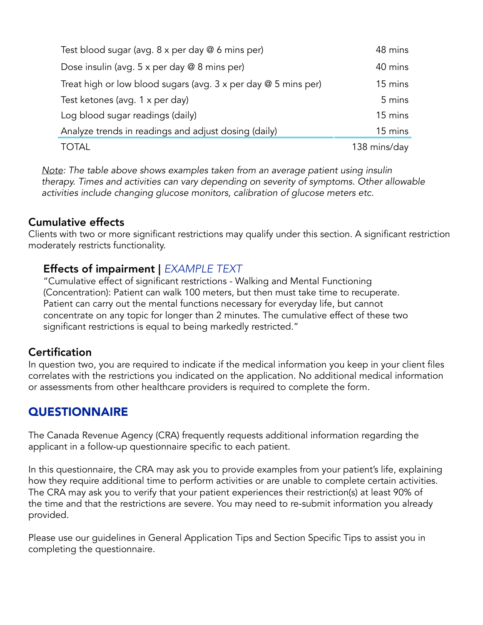| Test blood sugar (avg. 8 x per day @ 6 mins per)               | 48 mins      |
|----------------------------------------------------------------|--------------|
| Dose insulin (avg. 5 x per day @ 8 mins per)                   | 40 mins      |
| Treat high or low blood sugars (avg. 3 x per day @ 5 mins per) | 15 mins      |
| Test ketones (avg. 1 x per day)                                | 5 mins       |
| Log blood sugar readings (daily)                               | 15 mins      |
| Analyze trends in readings and adjust dosing (daily)           | 15 mins      |
| TOTAL                                                          | 138 mins/day |

*Note: The table above shows examples taken from an average patient using insulin therapy. Times and activities can vary depending on severity of symptoms. Other allowable activities include changing glucose monitors, calibration of glucose meters etc.*

#### Cumulative effects

Clients with two or more significant restrictions may qualify under this section. A significant restriction moderately restricts functionality.

#### Effects of impairment | *EXAMPLE TEXT*

"Cumulative effect of significant restrictions - Walking and Mental Functioning (Concentration): Patient can walk 100 meters, but then must take time to recuperate. Patient can carry out the mental functions necessary for everyday life, but cannot concentrate on any topic for longer than 2 minutes. The cumulative effect of these two significant restrictions is equal to being markedly restricted."

#### Certification

In question two, you are required to indicate if the medical information you keep in your client files correlates with the restrictions you indicated on the application. No additional medical information or assessments from other healthcare providers is required to complete the form.

## **QUESTIONNAIRE**

The Canada Revenue Agency (CRA) frequently requests additional information regarding the applicant in a follow-up questionnaire specific to each patient.

In this questionnaire, the CRA may ask you to provide examples from your patient's life, explaining how they require additional time to perform activities or are unable to complete certain activities. The CRA may ask you to verify that your patient experiences their restriction(s) at least 90% of the time and that the restrictions are severe. You may need to re-submit information you already provided.

Please use our guidelines in General Application Tips and Section Specific Tips to assist you in completing the questionnaire.